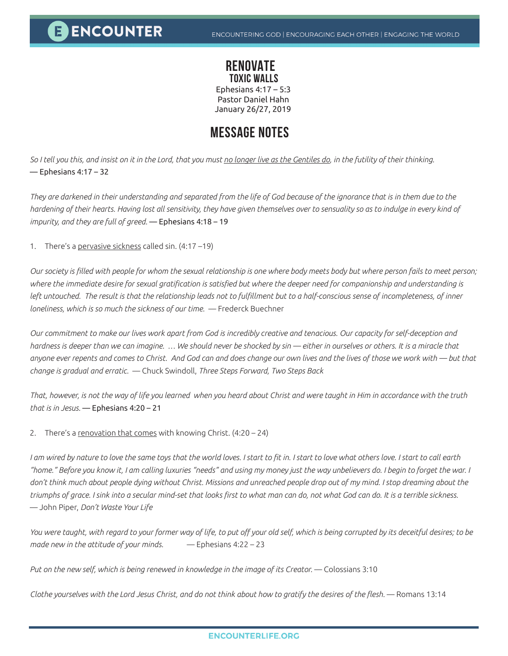## **RENOVATE TOXIC WALLS**

Ephesians 4:17 – 5:3 Pastor Daniel Hahn January 26/27, 2019

## **MESSAGE NOTES**

*So I tell you this, and insist on it in the Lord, that you must no longer live as the Gentiles do, in the futility of their thinking.*   $-$  Ephesians 4:17 – 32

*They are darkened in their understanding and separated from the life of God because of the ignorance that is in them due to the hardening of their hearts. Having lost all sensitivity, they have given themselves over to sensuality so as to indulge in every kind of impurity, and they are full of greed.* — Ephesians 4:18 – 19

1. There's a pervasive sickness called sin. (4:17 -19)

*Our society is filled with people for whom the sexual relationship is one where body meets body but where person fails to meet person; where the immediate desire for sexual gratification is satisfied but where the deeper need for companionship and understanding is left untouched. The result is that the relationship leads not to fulfillment but to a half-conscious sense of incompleteness, of inner loneliness, which is so much the sickness of our time.* — Frederck Buechner

*Our commitment to make our lives work apart from God is incredibly creative and tenacious. Our capacity for self-deception and hardness is deeper than we can imagine. … We should never be shocked by sin — either in ourselves or others. It is a miracle that anyone ever repents and comes to Christ. And God can and does change our own lives and the lives of those we work with — but that change is gradual and erratic.* — Chuck Swindoll, *Three Steps Forward, Two Steps Back* 

*That, however, is not the way of life you learned when you heard about Christ and were taught in Him in accordance with the truth that is in Jesus.* — Ephesians 4:20 – 21

2. There's a renovation that comes with knowing Christ.  $(4:20 - 24)$ 

*I am wired by nature to love the same toys that the world loves. I start to fit in. I start to love what others love. I start to call earth "home." Before you know it, I am calling luxuries "needs" and using my money just the way unbelievers do. I begin to forget the war. I*  don't think much about people dying without Christ. Missions and unreached people drop out of my mind. I stop dreaming about the *triumphs of grace. I sink into a secular mind-set that looks first to what man can do, not what God can do. It is a terrible sickness.* ― John Piper, *Don't Waste Your Life* 

*You were taught, with regard to your former way of life, to put off your old self, which is being corrupted by its deceitful desires; to be made new in the attitude of your minds.* — Ephesians 4:22 – 23

Put on the new self, which is being renewed in knowledge in the image of its Creator. — Colossians 3:10

*Clothe yourselves with the Lord Jesus Christ, and do not think about how to gratify the desires of the flesh.* — Romans 13:14